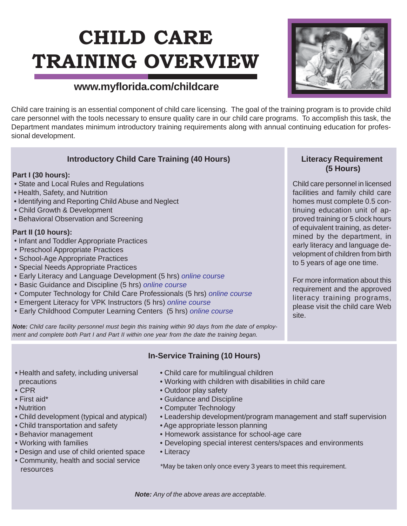# **CHILD CARE TRAINING OVERVIEW**

# **www.myflorida.com/childcare**

Child care training is an essential component of child care licensing. The goal of the training program is to provide child care personnel with the tools necessary to ensure quality care in our child care programs. To accomplish this task, the Department mandates minimum introductory training requirements along with annual continuing education for professional development.

#### **Introductory Child Care Training (40 Hours)**

#### **Part I (30 hours):**

- State and Local Rules and Regulations
- Health, Safety, and Nutrition
- Identifying and Reporting Child Abuse and Neglect
- Child Growth & Development
- Behavioral Observation and Screening

#### **Part II (10 hours):**

- Infant and Toddler Appropriate Practices
- Preschool Appropriate Practices
- School-Age Appropriate Practices
- Special Needs Appropriate Practices
- Early Literacy and Language Development (5 hrs) *online course*
- Basic Guidance and Discipline (5 hrs) *online course*
- Computer Technology for Child Care Professionals (5 hrs) *online course*
- Emergent Literacy for VPK Instructors (5 hrs) *online course*
- Early Childhood Computer Learning Centers (5 hrs) *online course*

*Note: Child care facility personnel must begin this training within 90 days from the date of employment and complete both Part I and Part II within one year from the date the training began.*

#### **Literacy Requirement (5 Hours)**

Child care personnel in licensed facilities and family child care homes must complete 0.5 continuing education unit of approved training or 5 clock hours of equivalent training, as determined by the department, in early literacy and language development of children from birth to 5 years of age one time.

For more information about this requirement and the approved literacy training programs, please visit the child care Web site.

## **In-Service Training (10 Hours)**

- Child care for multilingual children
- Working with children with disabilities in child care
- Outdoor play safety
- Guidance and Discipline
- Computer Technology
- Leadership development/program management and staff supervision
- Age appropriate lesson planning
- Homework assistance for school-age care
- Developing special interest centers/spaces and environments
- Literacy

\*May be taken only once every 3 years to meet this requirement.

*Note: Any of the above areas are acceptable.*

• Health and safety, including universal precautions

- CPR
- First aid\*
- Nutrition
- Child development (typical and atypical)
- Child transportation and safety
- Behavior management
- Working with families
- Design and use of child oriented space
- Community, health and social service resources